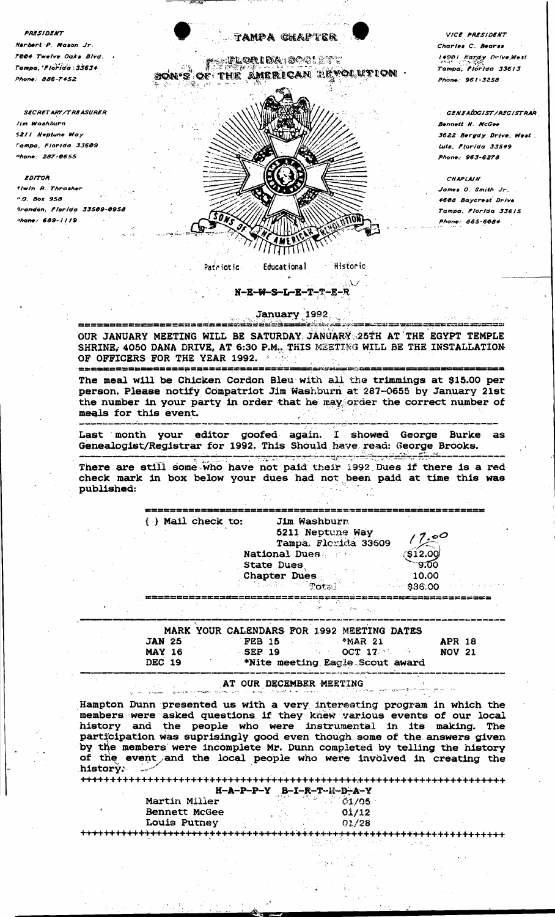PRESIDENT Narbert P. Mason Jr. 7004 Twelve Oaks Blvd. Tampa, 'Florida 33634  $Phone \cdot AAB - T452$ 

**SECRETARY/TREASURER** lim Washburn 5211 Neptune Way Campa, Florida 33609 hone: 287-0655

EDITOR

fiwin R. Thrasher <sup>D.O.</sup> Box 958 irandon, Florida 33509-0958 hone: 689-1119

852228065222523812XX33532



VICE PRESIDENT Charles C. Bearss 14901 Kardy Orive, West Tampa. Florida 33613 Phone: 961-3258

GENEADGIST/REGISTRAR Bennett H. NcGee 3622 Bergdy Drive, West. Lutz, Florida 33549 Phone: 963-6278

**CHAPLAIN** *James O. Smith Jr.* 4608 Bavcrest Drive Tampa, Florida 33615 Phone: 885-6084

## January 1992

massundantan ka

 $\overline{\phantom{a}}$  $N-B-W-S-L-B-T-T-E-R$ 

OUR JANUARY MEETING WILL BE SATURDAY JANUARY 25TH AT THE EGYPT TEMPLE SHRINE, 4050 DANA DRIVE, AT 6:30 P.M., THIS MEETING WILL BE THE INSTALLATION OF OFFICERS FOR THE YEAR 1992. ------------------------

more comme

The meal will be Chicken Cordon Bleu with all the trimmings at \$15.00 per person. Please notify Compatriot Jim Washburn at 287-0655 by January 21st the number in your party in order that he may order the correct number of meals for this event.

Last month your editor goofed again. I showed George Burke as Genealogist/Registrar for 1992. This Should have read: George Brooks.

والموارثة والموالية والمحاربين والمستحدث والمناسب المراجع المحارب والمستحدث There are still some who have not paid their 1992 Dues if there is a red check mark in box below your dues had not been paid at time this was published:

|  | ( ) Mail check to: |                           | Jim Washburn            |         |
|--|--------------------|---------------------------|-------------------------|---------|
|  |                    |                           | 5211 Neptune Way        | 7,00    |
|  |                    |                           | Tampa, Florida 33609    |         |
|  |                    |                           | National Dues           | \$12.00 |
|  |                    | <b>State Dues</b><br>6000 |                         | -9.00   |
|  |                    |                           | <b>Chapter Dues</b>     | 10.00   |
|  |                    |                           | a Province Professional | 336.00  |
|  |                    |                           |                         |         |

|               | MARK YOUR CALENDARS FOR 1992 MEETING DATES                                                                                                                                                                                                                                                                          |               |
|---------------|---------------------------------------------------------------------------------------------------------------------------------------------------------------------------------------------------------------------------------------------------------------------------------------------------------------------|---------------|
| <b>JAN 25</b> | FEB 15 $*MAR 21$                                                                                                                                                                                                                                                                                                    | <b>APR 18</b> |
| <b>MAY 16</b> | $\mathcal{S}$ EP 19 and $\mathcal{S}$ and $\mathcal{S}$ and $\mathcal{S}$ and $\mathcal{S}$ and $\mathcal{S}$ and $\mathcal{S}$ and $\mathcal{S}$ and $\mathcal{S}$ and $\mathcal{S}$ and $\mathcal{S}$ and $\mathcal{S}$ are $\mathcal{S}$ and $\mathcal{S}$ are $\mathcal{S}$ and $\mathcal{S}$ are $\mathcal{S}$ | <b>NOV 21</b> |
| DEC 19        | *Nite meeting Eagle Scout award                                                                                                                                                                                                                                                                                     |               |

AT OUR DECEMBER MEETING د.<br>منابع الموسطى المنابع المنابع المرابع المرابع المرابع المرابع المرابع المرابع المرابع المرابع المرابع المرابع

Hampton Dunn presented us with a very interesting program in which the members were asked questions if they knew various events of our local history and the people who were instrumental in its making. The participation was suprisingly good even though some of the answers given by the members were incomplete Mr. Dunn completed by telling the history of the event and the local people who were involved in creating the history. 

|                     | $H - A - P - P - Y$ $B - I - R - T - H - D - A - Y$ |  |
|---------------------|-----------------------------------------------------|--|
| Martin Miller       | $\sim$ $\sqrt{61/05}$                               |  |
| Bennett McGee       | 01/12                                               |  |
| <b>Louis Putney</b> | 01/28                                               |  |
|                     |                                                     |  |

+++++++++++++++++++++